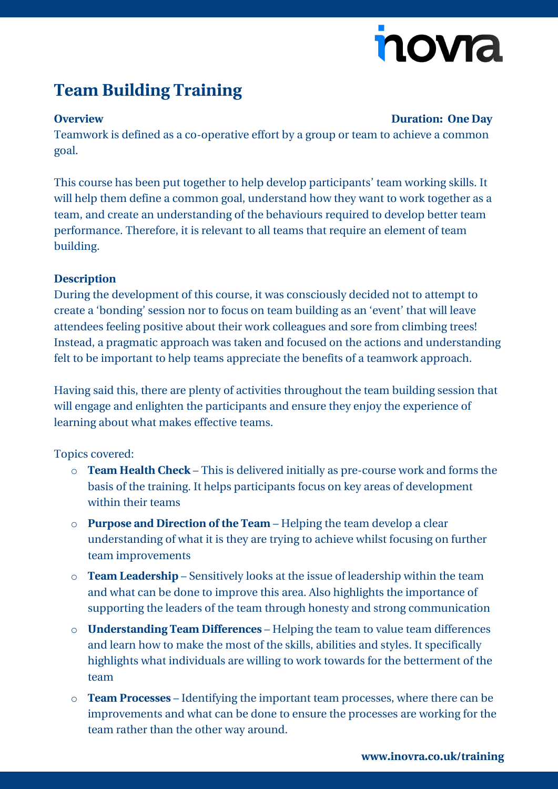# novia

## **Team Building Training**

#### **Overview Duration: One Day**

Teamwork is defined as a co-operative effort by a group or team to achieve a common goal.

This course has been put together to help develop participants' team working skills. It will help them define a common goal, understand how they want to work together as a team, and create an understanding of the behaviours required to develop better team performance. Therefore, it is relevant to all teams that require an element of team building.

#### **Description**

During the development of this course, it was consciously decided not to attempt to create a 'bonding' session nor to focus on team building as an 'event' that will leave attendees feeling positive about their work colleagues and sore from climbing trees! Instead, a pragmatic approach was taken and focused on the actions and understanding felt to be important to help teams appreciate the benefits of a teamwork approach.

Having said this, there are plenty of activities throughout the team building session that will engage and enlighten the participants and ensure they enjoy the experience of learning about what makes effective teams.

### Topics covered:

- o **Team Health Check** This is delivered initially as pre-course work and forms the basis of the training. It helps participants focus on key areas of development within their teams
- o **Purpose and Direction of the Team** Helping the team develop a clear understanding of what it is they are trying to achieve whilst focusing on further team improvements
- o **Team Leadership** Sensitively looks at the issue of leadership within the team and what can be done to improve this area. Also highlights the importance of supporting the leaders of the team through honesty and strong communication
- o **Understanding Team Differences** Helping the team to value team differences and learn how to make the most of the skills, abilities and styles. It specifically highlights what individuals are willing to work towards for the betterment of the team
- o **Team Processes** Identifying the important team processes, where there can be improvements and what can be done to ensure the processes are working for the team rather than the other way around.